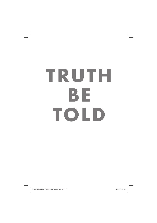# **TRUTH BE TOLD**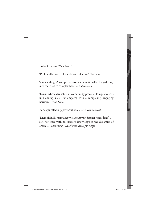Praise for *Guard Your Heart*

'Profoundly powerful, subtle and effective.' *Guardian*

'Outstanding. A comprehensive, and emotionally charged foray into the North's complexities.' *Irish Examiner*

'Divin, whose day job is in community peace building, succeeds in blending a call for empathy with a compelling, engaging narrative.' *Irish Times*

'A deeply affecting, powerful book.' *Irish Independent*

'Divin skilfully maintains two attractively distinct voices [and] . . . sets her story with an insider's knowledge of the dynamics of Derry . . . absorbing.' Geoff Fox, *Books for Keeps*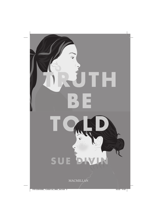

# SU E

MACMILLAN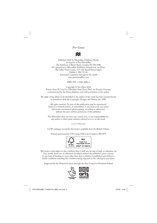## *For Grace*



Published 2022 by Macmillan Children's Books an imprint of Pan Macmillan The Smithson, 6 Briset Street, London EC1M 5NR *EU representative:* Macmillan Publishers Ireland Ltd, 1st Floor, The Liffey Trust Centre, 117–126 Sheriff Street Upper Dublin 1, D01 YC43 Associated companies throughout the world www.panmacmillan.com

ISBN 978-1-5290-4098-2

Copyright © Sue Divin 2022 Extract from 'If I was Us, I Wouldn't Start From Here', by Damian Gorman, commissioned by the Poetry Jukebox, used with permission of the author.

The right of Sue Divin to be identified as the author of this work has been asserted by her in accordance with the Copyright, Designs and Patents Act 1988.

All rights reserved. No part of this publication may be reproduced, stored in a retrieval system, or transmitted, in any form or by any means (electronic, mechanical, photocopying, recording or otherwise), without the prior written permission of the publisher.

Pan Macmillan does not have any control over, or any responsibility for, any author or third-party websites referred to in or on this book.

1 3 5 7 9 8 6 4 2

A CIP catalogue record for this book is available from the British Library.

Printed and bound by CPI Group (UK) Ltd, Croydon CR0 4YY



This book is sold subject to the condition that it shall not, by way of trade or otherwise, be lent, resold, hired out, or otherwise circulated without the publisher's prior consent in any form of binding or cover other than that in which it is published and without a similar condition including this condition being imposed on the subsequent purchaser.

Supported by the National Lottery through the Arts Council of Northern Ireland

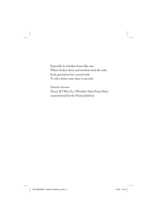Especially in a broken home like ours Where broken doors and windows feed the cold, Each generation has a sacred task: To tell a better story than it was told.

### *Damian Gorman*

(From 'If I Was Us, I Wouldn't Start From Here', commissioned by the Poetry Jukebox)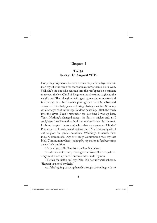# Chapter 1

# **TARA Derry, 15 August 2019 Derry, 15 August 2019**

Everything holy in our house is in the attic, under a layer of dust. Nan says it's the same for the whole country, thanks be to God. Still, she's the one who sent me into the roof space on a mission to recover the lost Child of Prague statue she wants to give to the neighbours. Their daughter is for getting married tomorrow and is dreading rain. Nan swears putting their faith in a battered ornament of the baby Jesus will bring blazing sunshine. Since my ex, Oran, got shot in the leg, I'm done believing. I flash the torch into the eaves. I can't remember the last time I was up here. Years. Nothing's changed except the dust is thicker and, as I straighten, I realize with a thud that my head now hits the roof. I rub my temple. The true miracle is that we even *own* a Child of Prague or that I can be arsed looking for it. My family only wheel out religion for special occasions. Weddings. Funerals. First Holy Communions. My first Holy Communion was my last Holy Communion which, judging by my mates, is fast becoming a new Irish tradition.

'It's in a box,' calls Nan from the landing below.

'I could be a while,' I say, looking at the boxes piled everywhere. They must breed up here. I sneeze and wrinkle my nose.

'I'll stick the kettle on,' says Nan. It's her universal solution. 'Shout if you need my help.'

As if she's going to swing herself through the ceiling with no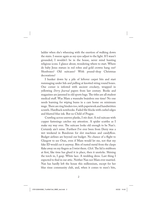ladder when she's wheezing with the exertion of walking down the stairs. I sneeze again as my eyes adjust to the light. If I wasn't grounded, I wouldn't be in the house, never mind hunting religious icons. I glance about, wondering where to start. Where do baby Jesus statues in red robes and gold crowns hang out? Shoeboxes? Old suitcases? With pound-shop Christmas decorations?

I hunker down by a pile of leftover carpet bits and start rummaging under lids and pulling at knotted string round boxes. One corner is infested with ancient crockery, wrapped in yellowing *Derry Journal* papers from last century. Books and magazines are jammed in old sports bags. The titles are all student medical stuff. Was Mam a wannabe brainbox one time? No one needs learning for wiping bums in a care home on minimum wage. There are ring binders too, with paperwork and handwritten scrawls. Hardback notebooks. Faded file blocks with curled edges and blurred blue ink. But no Child of Prague.

Crawling across uneven planks, I stir dust. A red suitcase with copper fastenings catches my attention. A spider scuttles as I make my way over. The suitcase looks old enough to be Nan's. Certainly ain't mine. Furthest I've ever been from Derry was a wet weekend in Bundoran for slot machines and candyfloss. Budget airlines are beyond our budget. No chance of a flight to Glasgow to see Oran, even if Mam would let me, not that my fake ID would cut it anyway. Bits of rusted metal from the clasps flake away on my fingers as I twist them. *Click*. The lid is stubborn at first, like time has glued it in place, then it unsticks. Shining the torch in, I gasp. White lace. A wedding dress. Last thing I expected to find in our attic. Neither Nan nor Mam ever married. Nan has hardly left the house this millennium, except for her blue rinse community club, and, when it comes to men's bits,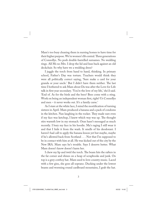Mam's too busy cleaning them in nursing homes to have time for their higher purpose. We're women's lib central. Three generations of Connollys. No posh double-barrelled surnames. No wedding rings. All Ms no Mrs. I drop the lid and lean back against an old deckchair. So why have we a wedding dress?

I juggle the torch from hand to hand, thinking. In primary school, Father's Day was torture. Teachers would think they were all politically correct saying, 'Sure make a card for your granda or your uncle.' But I didn't have them neither. The last time I bothered to ask Mam about Da was after the Love for Life talk in first year secondary. 'You're the love of my life,' she'd said. 'End of. As for the birds and the bees? Bees come with a sting. Work on being an independent woman first, right? Us Connollys and men – it never works out. It's a family curse.'

As I stare at the white lace, I mind the mortification of turning sixteen in April. Mam produced a banana and a pack of condoms in the kitchen. Nan laughing in the rocker. They made sure even if my face was ketchup, I knew which way was up. The thought stirs warmth low in my stomach. Oran hasn't messaged as much recently. I bury my face in his hoodie. Ma's raging I still wear it and that I hide it from the wash. It smells of his deodorant. I haven't had call to apply the banana lesson yet but maybe, maybe if he's allowed back from Scotland . . . Not that I'm supposed to be in contact with him at all. He was kicked out of the city by the New IRA. Mam says he's trouble. Says I deserve better. What Mam doesn't know doesn't harm her.

I chew my lip and twirl the torch. The beam hits the rafters in the far corner and shines on a heap of scrapbooks and junk. On top is a grey cowboy hat. Mam used to love country music. Laced with a few gins, she goes all soprano. Ducking under the lowest beams and worming round cardboard mountains, I grab the hat.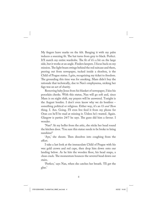My fingers leave marks on the felt. Banging it with my palm induces a sneezing fit. The hat turns from grey to black. Perfect. It'll match my entire wardrobe. The fit of it's a bit on the large side, but it works at an angle. Finders keepers. I focus back on my mission. The light beam swings behind the red suitcase and there, peering out from newspaper, tucked inside a shoebox, is the Child of Prague statue. I grin, recognizing my ticket to freedom. The grounding this time was for smoking. Mam didn't buy the rationale that technically, due to Nan's emphysema, nicking her fags was an act of charity.

Removing baby Jesus from his blanket of newspaper, I kiss his porcelain cheeks. With this statue, Nan will go soft and, since Mam is on night shift, my prayers will be answered. Tonight is the August bonfire. I don't even know why we do bonfires – something political or religious. Either way, it's an *Us and Them* thing. I. Am. Going. I'll even live feed it from my phone for Oran cos he'll be mad at missing it. Unless he's wasted. Again. Glasgow is parties 24/7 he says. The guns did him a favour. I wonder.

'Nan?' At my holler from the attic, she sticks her head round the kitchen door. 'You sure this statue needs to be broke to bring sunshine?'

'Aye,' she shouts. Then dissolves into coughing from the effort.

I take a last look at the immaculate Child of Prague with his wee gold crown and red cape, then drop him down onto our landing below. As he hits the wooden floor, his head snaps, a clean crack. The momentum bounces the severed head down our stairs.

'Perfect,' says Nan, when she catches her breath. 'I'll get the glue.'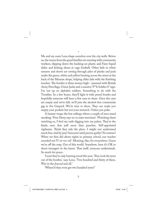Me and my mate Lena drape ourselves over the city walls. Below us, the weans from the good families are messing with community workers, slipping down the banking on plastic and Fairy-liquid slides and kicking about at cage football. Other kids in white runners and shorts are sorting through piles of planks and junk under the green, white and yellow bunting across the street at the back of the Meenan shops, helping older lads with the finishing touches. The bonfire is three storeys high – jammed with British Army Para flags, Union Jacks and a massive 'F\*\*k Soldier F' sign. I'm not up on alphabet soldiers. Something to do with the Troubles. In a few hours, they'll light it with petrol bombs and hopefully someone will have a few cans to share. Once the cans are empty and we're full, we'll join the alcohol-free community gig in the Gasyard. We're wise to them. They can make you empty your pockets but not your stomach. Unless you puke.

\*

A banner wraps the low railings where a couple of men stand smoking: 'Free Derry says no to state terrorism'. Watching them watching us, I find my nails digging into my palms. They're the kinda ones that pull more than punches. Self-appointed vigilantes. Think they rule the place. I might not understand much but, trial by jury? Innocent until proven guilty? No torture? When we first did about rights in primary school, our teacher sounded out 'U-ni-ver-sal'. Meaning, like, for everywhere. Guess we're off the map. Out of this world. Somehow, here it's OK to shoot teenagers in the knees. That stuff, everyone understands. So much for peace.

'Least they're only burning wood this year. They took the tyres out of the bonfire,' says Lena. 'Two hundred and thirty of them. Was in the *Journal* and all.'

'Where'd they even get two hundred tyres?'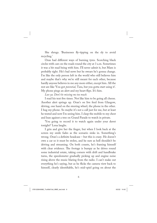She shrugs. 'Businesses fly-tipping on the sly to avoid recycling.'

Oran had different ways of burning tyres. Scorching black circles with cars on the roads round the city at 3 a.m. Sometimes it was a bit mad being with him. I'll never admit it, but Mam is probably right. He's bad news but he swears he's gonna change. I'm like the only person left in the world who still believes him and maybe that's why we're still meant for each other, because hardly anyone believes in me any more either, except him. All the rest are like 'You got *potential*, Tara, but you gotta start using it'. My phone pings an alert and my heart flips. It's him.

*Luv ya. Don't be missing me too much.*

I read his text five times. Not like him to be going all cheese. Another alert springs up. Oran's on live feed from Glasgow, driving, one hand on the steering wheel, the phone in the other. I hug my phone. So maybe it's not a call just for me, but at least he texted and now I'm seeing him. I clasp the mobile to my chest and lean against a tree on Grand Parade to watch in private.

'You going to record it to watch again under your duvet tonight?' Lena laughs.

I grin and give her the finger, but when I look back at the screen my smile fades as the scenario sinks in. Something's wrong. Oran's a definite headcase – but this is crazy. He doesn't own a car so it must be stolen, and he sure as hell shouldn't be driving and streaming. On both counts, he's framing himself with clear evidence. The footage is bumpy as he drives round some industrial estate, taking corners with drift and handbrake turns, the speedometer gradually picking up and engine noise rising above the music blaring from the radio. I can't make out everything he's saying, but as he flicks the camera view back to himself, clearly identifiable, he's mid-spiel going on about the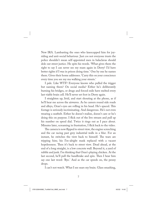New IRA. Lambasting the ones who kneecapped him for joyriding and anti-social behaviour. Just cos not everyone trusts the police shouldn't mean self-appointed men in balaclavas should dole out street justice. He spits his words. 'What gives them the right to say I can never see my mam again in Derry? I'd have better rights if I was in prison doing time.' One by one he names them. Gives their home addresses. 'Carry this on your conscience every time you see my ma walking your streets.'

I pale. Like WTF? Everyone knows who pulled the trigger but naming them? On social media? Either he's deliberately burning his bridges, or drugs and forced exile have melted every last viable brain cell. He'll never set foot in Derry again.

I straighten up, livid, and start shouting at the phone, as if he'll hear me across the airwaves. As he careers round side roads and alleys, Oran's eyes are rolling in his head. He's spaced. This footage is seriously incriminating. And dangerous. He's not even wearing a seatbelt. Either he doesn't realize, doesn't care or he's doing this on purpose. I flick out of the live stream and pull up his number on speed dial. Twice it rings out as I pace about. Minutes later, screaming in frustration, I flick back to the video.

The camera is now flipped to street view, the engine screeching and the car racing past grey industrial walls in a blur. For an instant, he switches the view back to himself. The tears are tripping him; his I'm-alright mask replaced with a vacant hopelessness. Then it's back to street view. Dead ahead, at the end of a long straight, is a low concrete wall. Beyond it, a yard of rubble and junk. I'm thinking that Oran's playing chicken. At the last second, he'll pull the handbrake and spin. Then I hear him say one last word: 'Bye.' And as the car speeds on, the penny drops.

I can't not watch. What I see sears my brain. Glass smashing,